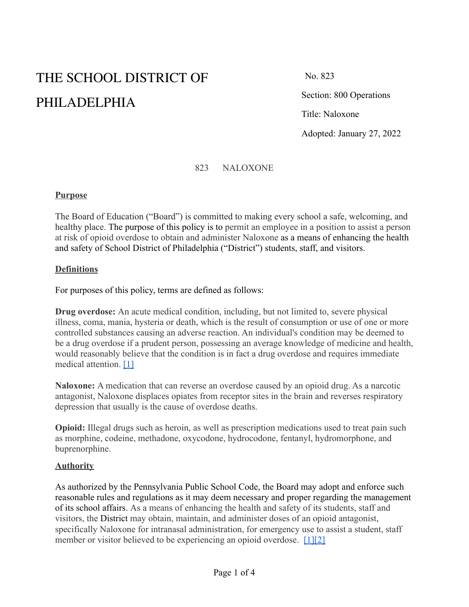# THE SCHOOL DISTRICT OF PHILADELPHIA

No. 823

Section: 800 Operations

Title: Naloxone

Adopted: January 27, 2022

#### 823 NALOXONE

#### **Purpose**

The Board of Education ("Board") is committed to making every school a safe, welcoming, and healthy place. The purpose of this policy is to permit an employee in a position to assist a person at risk of opioid overdose to obtain and administer Naloxone as a means of enhancing the health and safety of School District of Philadelphia ("District") students, staff, and visitors.

#### **Definitions**

For purposes of this policy, terms are defined as follows:

**Drug overdose:** An acute medical condition, including, but not limited to, severe physical illness, coma, mania, hysteria or death, which is the result of consumption or use of one or more controlled substances causing an adverse reaction. An individual's condition may be deemed to be a drug overdose if a prudent person, possessing an average knowledge of medicine and health, would reasonably believe that the condition is in fact a drug overdose and requires immediate medical attention. [\[1\]](http://www.legis.state.pa.us/cfdocs/legis/LI/uconsCheck.cfm?txtType=HTM&yr=1972&sessInd=0&smthLwInd=0&act=64&chpt=0&sctn=13&subsctn=7)

**Naloxone:** A medication that can reverse an overdose caused by an opioid drug. As a narcotic antagonist, Naloxone displaces opiates from receptor sites in the brain and reverses respiratory depression that usually is the cause of overdose deaths.

**Opioid:** Illegal drugs such as heroin, as well as prescription medications used to treat pain such as morphine, codeine, methadone, oxycodone, hydrocodone, fentanyl, hydromorphone, and buprenorphine.

#### **Authority**

As authorized by the Pennsylvania Public School Code, the Board may adopt and enforce such reasonable rules and regulations as it may deem necessary and proper regarding the management of its school affairs. As a means of enhancing the health and safety of its students, staff and visitors, the District may obtain, maintain, and administer doses of an opioid antagonist, specifically Naloxone for intranasal administration, for emergency use to assist a student, staff member or visitor believed to be experiencing an opioid overdose. [\[1\]](http://www.legis.state.pa.us/cfdocs/legis/LI/uconsCheck.cfm?txtType=HTM&yr=1972&sessInd=0&smthLwInd=0&act=64&chpt=0&sctn=13&subsctn=7)[\[2\]](http://www.legis.state.pa.us/cfdocs/legis/LI/uconsCheck.cfm?txtType=HTM&yr=1972&sessInd=0&smthLwInd=0&act=64&chpt=0&sctn=13&subsctn=8)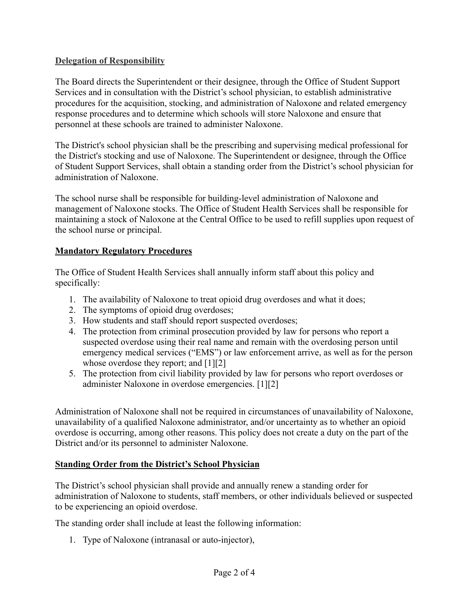## **Delegation of Responsibility**

The Board directs the Superintendent or their designee, through the Office of Student Support Services and in consultation with the District's school physician, to establish administrative procedures for the acquisition, stocking, and administration of Naloxone and related emergency response procedures and to determine which schools will store Naloxone and ensure that personnel at these schools are trained to administer Naloxone.

The District's school physician shall be the prescribing and supervising medical professional for the District's stocking and use of Naloxone. The Superintendent or designee, through the Office of Student Support Services, shall obtain a standing order from the District's school physician for administration of Naloxone.

The school nurse shall be responsible for building-level administration of Naloxone and management of Naloxone stocks. The Office of Student Health Services shall be responsible for maintaining a stock of Naloxone at the Central Office to be used to refill supplies upon request of the school nurse or principal.

## **Mandatory Regulatory Procedures**

The Office of Student Health Services shall annually inform staff about this policy and specifically:

- 1. The availability of Naloxone to treat opioid drug overdoses and what it does;
- 2. The symptoms of opioid drug overdoses;
- 3. How students and staff should report suspected overdoses;
- 4. The protection from criminal prosecution provided by law for persons who report a suspected overdose using their real name and remain with the overdosing person until emergency medical services ("EMS") or law enforcement arrive, as well as for the person whose overdose they report; and [1][2]
- 5. The protection from civil liability provided by law for persons who report overdoses or administer Naloxone in overdose emergencies. [1][2]

Administration of Naloxone shall not be required in circumstances of unavailability of Naloxone, unavailability of a qualified Naloxone administrator, and/or uncertainty as to whether an opioid overdose is occurring, among other reasons. This policy does not create a duty on the part of the District and/or its personnel to administer Naloxone.

#### **Standing Order from the District's School Physician**

The District's school physician shall provide and annually renew a standing order for administration of Naloxone to students, staff members, or other individuals believed or suspected to be experiencing an opioid overdose.

The standing order shall include at least the following information:

1. Type of Naloxone (intranasal or auto-injector),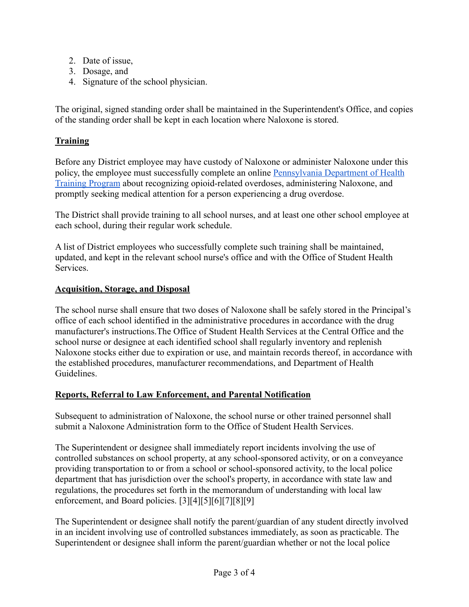- 2. Date of issue,
- 3. Dosage, and
- 4. Signature of the school physician.

The original, signed standing order shall be maintained in the Superintendent's Office, and copies of the standing order shall be kept in each location where Naloxone is stored.

## **Training**

Before any District employee may have custody of Naloxone or administer Naloxone under this policy, the employee must successfully complete an online [Pennsylvania Department of Health](https://www.train.org/pa/admin/course/1085469/) [Training Program](https://www.train.org/pa/admin/course/1085469/) about recognizing opioid-related overdoses, administering Naloxone, and promptly seeking medical attention for a person experiencing a drug overdose.

The District shall provide training to all school nurses, and at least one other school employee at each school, during their regular work schedule.

A list of District employees who successfully complete such training shall be maintained, updated, and kept in the relevant school nurse's office and with the Office of Student Health **Services** 

## **Acquisition, Storage, and Disposal**

The school nurse shall ensure that two doses of Naloxone shall be safely stored in the Principal's office of each school identified in the administrative procedures in accordance with the drug manufacturer's instructions.The Office of Student Health Services at the Central Office and the school nurse or designee at each identified school shall regularly inventory and replenish Naloxone stocks either due to expiration or use, and maintain records thereof, in accordance with the established procedures, manufacturer recommendations, and Department of Health Guidelines.

## **Reports, Referral to Law Enforcement, and Parental Notification**

Subsequent to administration of Naloxone, the school nurse or other trained personnel shall submit a Naloxone Administration form to the Office of Student Health Services.

The Superintendent or designee shall immediately report incidents involving the use of controlled substances on school property, at any school-sponsored activity, or on a conveyance providing transportation to or from a school or school-sponsored activity, to the local police department that has jurisdiction over the school's property, in accordance with state law and regulations, the procedures set forth in the memorandum of understanding with local law enforcement, and Board policies. [3][4][5][6][7][8][9]

The Superintendent or designee shall notify the parent/guardian of any student directly involved in an incident involving use of controlled substances immediately, as soon as practicable. The Superintendent or designee shall inform the parent/guardian whether or not the local police